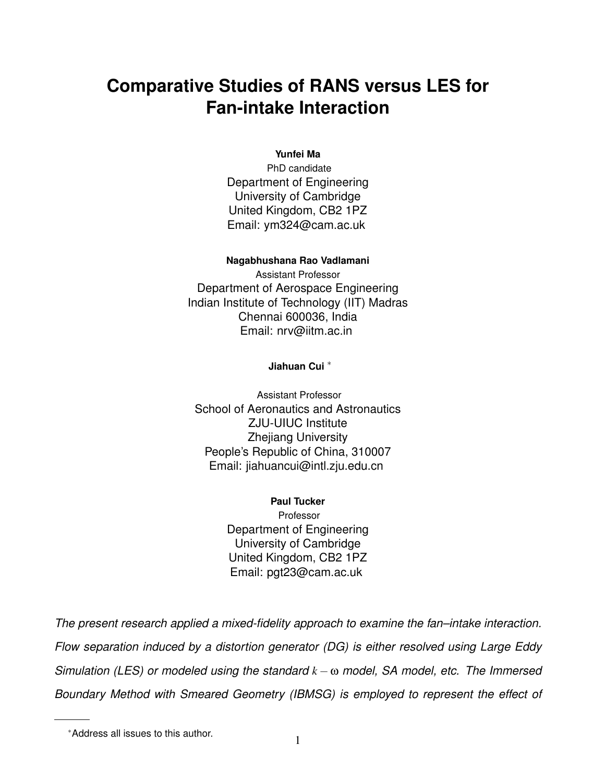# **Comparative Studies of RANS versus LES for Fan-intake Interaction**

#### **Yunfei Ma**

PhD candidate Department of Engineering University of Cambridge United Kingdom, CB2 1PZ Email: ym324@cam.ac.uk

#### **Nagabhushana Rao Vadlamani**

Assistant Professor Department of Aerospace Engineering Indian Institute of Technology (IIT) Madras Chennai 600036, India Email: nrv@iitm.ac.in

#### **Jiahuan Cui** <sup>∗</sup>

Assistant Professor School of Aeronautics and Astronautics ZJU-UIUC Institute Zhejiang University People's Republic of China, 310007 Email: jiahuancui@intl.zju.edu.cn

> **Paul Tucker** Professor Department of Engineering University of Cambridge United Kingdom, CB2 1PZ Email: pgt23@cam.ac.uk

*The present research applied a mixed-fidelity approach to examine the fan–intake interaction. Flow separation induced by a distortion generator (DG) is either resolved using Large Eddy Simulation (LES) or modeled using the standard k* −ω *model, SA model, etc. The Immersed Boundary Method with Smeared Geometry (IBMSG) is employed to represent the effect of*

<sup>∗</sup>Address all issues to this author. <sup>1</sup>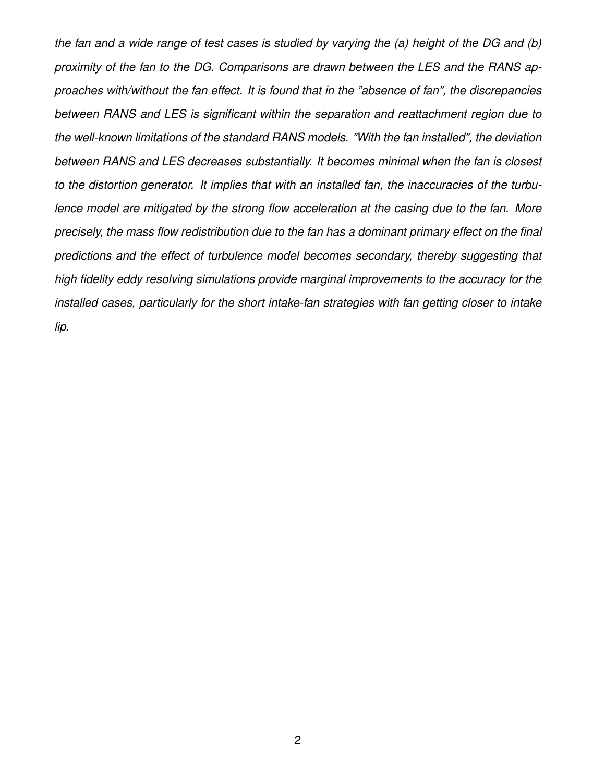*the fan and a wide range of test cases is studied by varying the (a) height of the DG and (b) proximity of the fan to the DG. Comparisons are drawn between the LES and the RANS approaches with/without the fan effect. It is found that in the "absence of fan", the discrepancies between RANS and LES is significant within the separation and reattachment region due to the well-known limitations of the standard RANS models. "With the fan installed", the deviation between RANS and LES decreases substantially. It becomes minimal when the fan is closest to the distortion generator. It implies that with an installed fan, the inaccuracies of the turbulence model are mitigated by the strong flow acceleration at the casing due to the fan. More precisely, the mass flow redistribution due to the fan has a dominant primary effect on the final predictions and the effect of turbulence model becomes secondary, thereby suggesting that high fidelity eddy resolving simulations provide marginal improvements to the accuracy for the installed cases, particularly for the short intake-fan strategies with fan getting closer to intake lip.*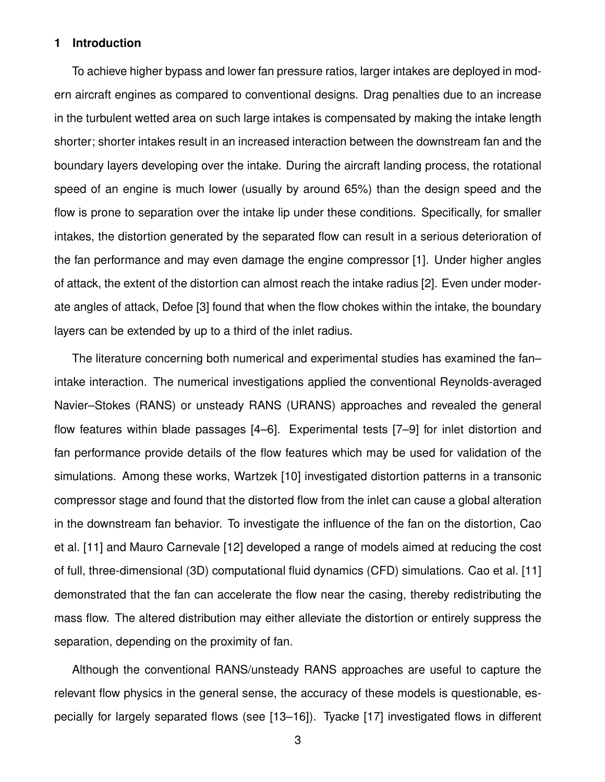#### **1 Introduction**

To achieve higher bypass and lower fan pressure ratios, larger intakes are deployed in modern aircraft engines as compared to conventional designs. Drag penalties due to an increase in the turbulent wetted area on such large intakes is compensated by making the intake length shorter; shorter intakes result in an increased interaction between the downstream fan and the boundary layers developing over the intake. During the aircraft landing process, the rotational speed of an engine is much lower (usually by around 65%) than the design speed and the flow is prone to separation over the intake lip under these conditions. Specifically, for smaller intakes, the distortion generated by the separated flow can result in a serious deterioration of the fan performance and may even damage the engine compressor [1]. Under higher angles of attack, the extent of the distortion can almost reach the intake radius [2]. Even under moderate angles of attack, Defoe [3] found that when the flow chokes within the intake, the boundary layers can be extended by up to a third of the inlet radius.

The literature concerning both numerical and experimental studies has examined the fan– intake interaction. The numerical investigations applied the conventional Reynolds-averaged Navier–Stokes (RANS) or unsteady RANS (URANS) approaches and revealed the general flow features within blade passages [4–6]. Experimental tests [7–9] for inlet distortion and fan performance provide details of the flow features which may be used for validation of the simulations. Among these works, Wartzek [10] investigated distortion patterns in a transonic compressor stage and found that the distorted flow from the inlet can cause a global alteration in the downstream fan behavior. To investigate the influence of the fan on the distortion, Cao et al. [11] and Mauro Carnevale [12] developed a range of models aimed at reducing the cost of full, three-dimensional (3D) computational fluid dynamics (CFD) simulations. Cao et al. [11] demonstrated that the fan can accelerate the flow near the casing, thereby redistributing the mass flow. The altered distribution may either alleviate the distortion or entirely suppress the separation, depending on the proximity of fan.

Although the conventional RANS/unsteady RANS approaches are useful to capture the relevant flow physics in the general sense, the accuracy of these models is questionable, especially for largely separated flows (see [13–16]). Tyacke [17] investigated flows in different

3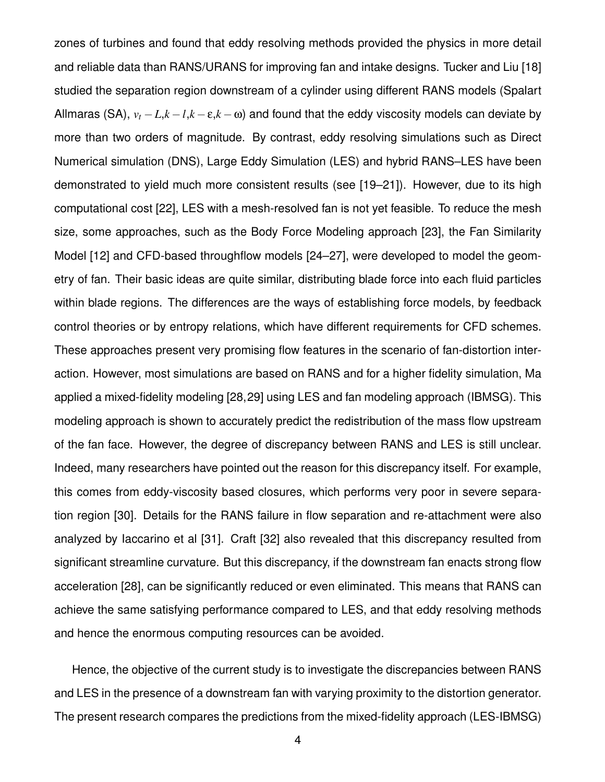zones of turbines and found that eddy resolving methods provided the physics in more detail and reliable data than RANS/URANS for improving fan and intake designs. Tucker and Liu [18] studied the separation region downstream of a cylinder using different RANS models (Spalart Allmaras (SA),  $v_t - L$ , $k - l$ , $k - \varepsilon$ , $k - \omega$ ) and found that the eddy viscosity models can deviate by more than two orders of magnitude. By contrast, eddy resolving simulations such as Direct Numerical simulation (DNS), Large Eddy Simulation (LES) and hybrid RANS–LES have been demonstrated to yield much more consistent results (see [19–21]). However, due to its high computational cost [22], LES with a mesh-resolved fan is not yet feasible. To reduce the mesh size, some approaches, such as the Body Force Modeling approach [23], the Fan Similarity Model [12] and CFD-based throughflow models [24–27], were developed to model the geometry of fan. Their basic ideas are quite similar, distributing blade force into each fluid particles within blade regions. The differences are the ways of establishing force models, by feedback control theories or by entropy relations, which have different requirements for CFD schemes. These approaches present very promising flow features in the scenario of fan-distortion interaction. However, most simulations are based on RANS and for a higher fidelity simulation, Ma applied a mixed-fidelity modeling [28,29] using LES and fan modeling approach (IBMSG). This modeling approach is shown to accurately predict the redistribution of the mass flow upstream of the fan face. However, the degree of discrepancy between RANS and LES is still unclear. Indeed, many researchers have pointed out the reason for this discrepancy itself. For example, this comes from eddy-viscosity based closures, which performs very poor in severe separation region [30]. Details for the RANS failure in flow separation and re-attachment were also analyzed by Iaccarino et al [31]. Craft [32] also revealed that this discrepancy resulted from significant streamline curvature. But this discrepancy, if the downstream fan enacts strong flow acceleration [28], can be significantly reduced or even eliminated. This means that RANS can achieve the same satisfying performance compared to LES, and that eddy resolving methods and hence the enormous computing resources can be avoided.

Hence, the objective of the current study is to investigate the discrepancies between RANS and LES in the presence of a downstream fan with varying proximity to the distortion generator. The present research compares the predictions from the mixed-fidelity approach (LES-IBMSG)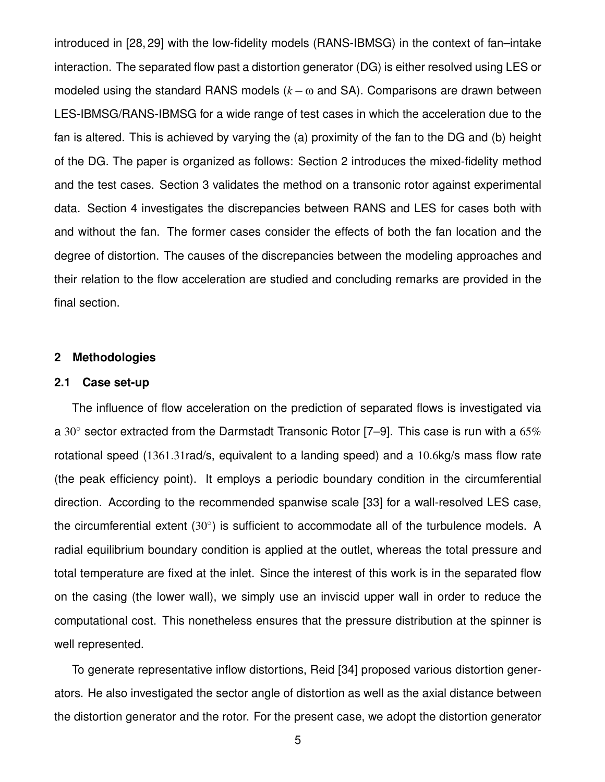introduced in [28, 29] with the low-fidelity models (RANS-IBMSG) in the context of fan–intake interaction. The separated flow past a distortion generator (DG) is either resolved using LES or modeled using the standard RANS models  $(k - \omega)$  and SA). Comparisons are drawn between LES-IBMSG/RANS-IBMSG for a wide range of test cases in which the acceleration due to the fan is altered. This is achieved by varying the (a) proximity of the fan to the DG and (b) height of the DG. The paper is organized as follows: Section 2 introduces the mixed-fidelity method and the test cases. Section 3 validates the method on a transonic rotor against experimental data. Section 4 investigates the discrepancies between RANS and LES for cases both with and without the fan. The former cases consider the effects of both the fan location and the degree of distortion. The causes of the discrepancies between the modeling approaches and their relation to the flow acceleration are studied and concluding remarks are provided in the final section.

#### **2 Methodologies**

# **2.1 Case set-up**

The influence of flow acceleration on the prediction of separated flows is investigated via a 30 $\degree$  sector extracted from the Darmstadt Transonic Rotor [7–9]. This case is run with a 65% rotational speed (1361.31rad/s, equivalent to a landing speed) and a 10.6kg/s mass flow rate (the peak efficiency point). It employs a periodic boundary condition in the circumferential direction. According to the recommended spanwise scale [33] for a wall-resolved LES case, the circumferential extent  $(30^{\circ})$  is sufficient to accommodate all of the turbulence models. A radial equilibrium boundary condition is applied at the outlet, whereas the total pressure and total temperature are fixed at the inlet. Since the interest of this work is in the separated flow on the casing (the lower wall), we simply use an inviscid upper wall in order to reduce the computational cost. This nonetheless ensures that the pressure distribution at the spinner is well represented.

To generate representative inflow distortions, Reid [34] proposed various distortion generators. He also investigated the sector angle of distortion as well as the axial distance between the distortion generator and the rotor. For the present case, we adopt the distortion generator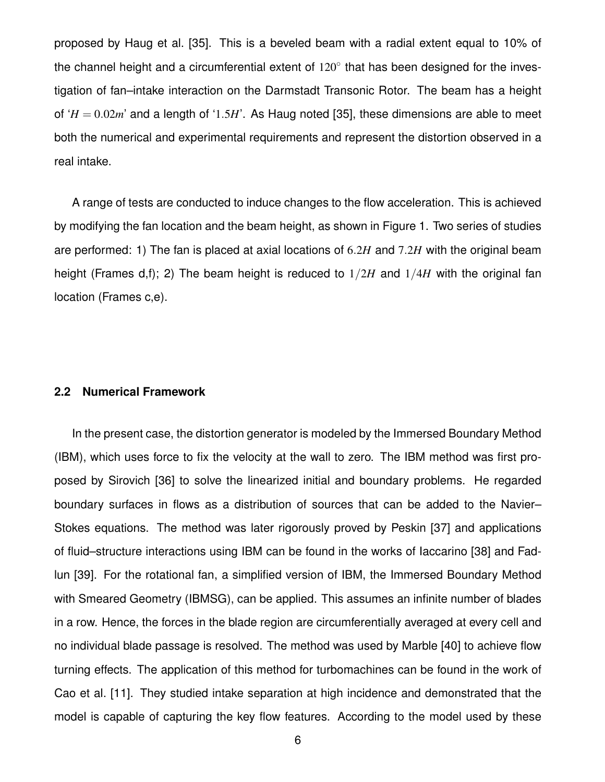proposed by Haug et al. [35]. This is a beveled beam with a radial extent equal to 10% of the channel height and a circumferential extent of  $120^{\circ}$  that has been designed for the investigation of fan–intake interaction on the Darmstadt Transonic Rotor. The beam has a height of ' $H = 0.02m'$  and a length of '1.5*H*'. As Haug noted [35], these dimensions are able to meet both the numerical and experimental requirements and represent the distortion observed in a real intake.

A range of tests are conducted to induce changes to the flow acceleration. This is achieved by modifying the fan location and the beam height, as shown in Figure 1. Two series of studies are performed: 1) The fan is placed at axial locations of 6.2*H* and 7.2*H* with the original beam height (Frames d,f); 2) The beam height is reduced to 1/2*H* and 1/4*H* with the original fan location (Frames c,e).

#### **2.2 Numerical Framework**

In the present case, the distortion generator is modeled by the Immersed Boundary Method (IBM), which uses force to fix the velocity at the wall to zero. The IBM method was first proposed by Sirovich [36] to solve the linearized initial and boundary problems. He regarded boundary surfaces in flows as a distribution of sources that can be added to the Navier– Stokes equations. The method was later rigorously proved by Peskin [37] and applications of fluid–structure interactions using IBM can be found in the works of Iaccarino [38] and Fadlun [39]. For the rotational fan, a simplified version of IBM, the Immersed Boundary Method with Smeared Geometry (IBMSG), can be applied. This assumes an infinite number of blades in a row. Hence, the forces in the blade region are circumferentially averaged at every cell and no individual blade passage is resolved. The method was used by Marble [40] to achieve flow turning effects. The application of this method for turbomachines can be found in the work of Cao et al. [11]. They studied intake separation at high incidence and demonstrated that the model is capable of capturing the key flow features. According to the model used by these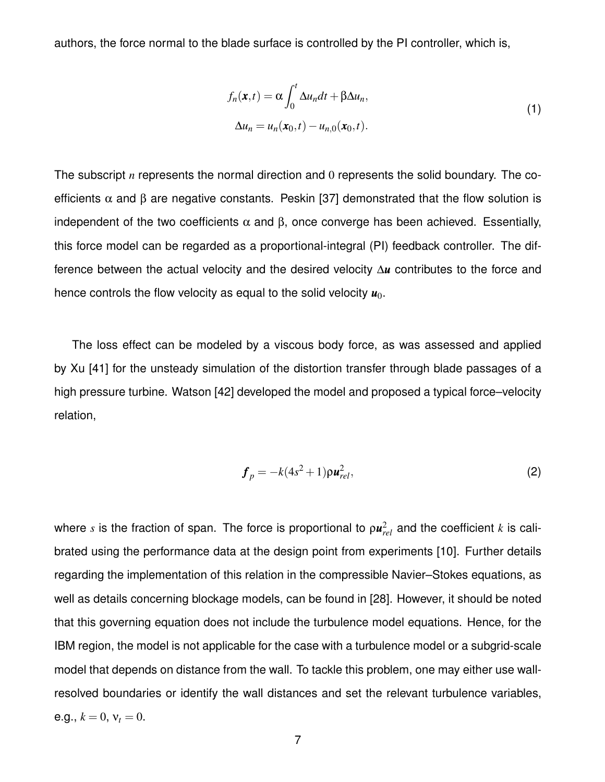authors, the force normal to the blade surface is controlled by the PI controller, which is,

$$
f_n(\mathbf{x},t) = \alpha \int_0^t \Delta u_n dt + \beta \Delta u_n,
$$
  

$$
\Delta u_n = u_n(\mathbf{x}_0,t) - u_{n,0}(\mathbf{x}_0,t).
$$
 (1)

The subscript *n* represents the normal direction and 0 represents the solid boundary. The coefficients  $\alpha$  and  $\beta$  are negative constants. Peskin [37] demonstrated that the flow solution is independent of the two coefficients  $\alpha$  and  $\beta$ , once converge has been achieved. Essentially, this force model can be regarded as a proportional-integral (PI) feedback controller. The difference between the actual velocity and the desired velocity ∆*u* contributes to the force and hence controls the flow velocity as equal to the solid velocity  $u_0$ .

The loss effect can be modeled by a viscous body force, as was assessed and applied by Xu [41] for the unsteady simulation of the distortion transfer through blade passages of a high pressure turbine. Watson [42] developed the model and proposed a typical force–velocity relation,

$$
\boldsymbol{f}_p = -k(4s^2+1)\boldsymbol{\rho}\boldsymbol{u}_{rel}^2,\tag{2}
$$

where  $s$  is the fraction of span. The force is proportional to  $\rho \boldsymbol{\mathit{u}}_{rel}^2$  and the coefficient  $k$  is calibrated using the performance data at the design point from experiments [10]. Further details regarding the implementation of this relation in the compressible Navier–Stokes equations, as well as details concerning blockage models, can be found in [28]. However, it should be noted that this governing equation does not include the turbulence model equations. Hence, for the IBM region, the model is not applicable for the case with a turbulence model or a subgrid-scale model that depends on distance from the wall. To tackle this problem, one may either use wallresolved boundaries or identify the wall distances and set the relevant turbulence variables, e.g.,  $k = 0$ ,  $v_t = 0$ .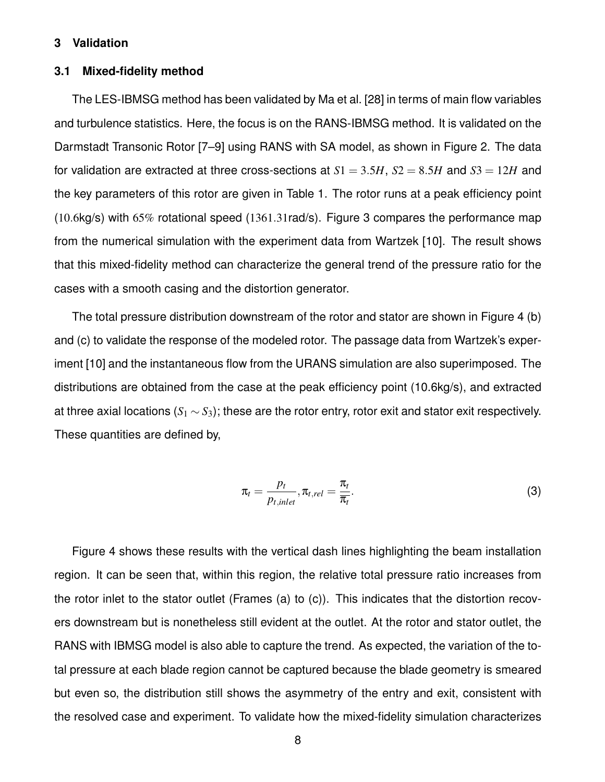#### **3 Validation**

#### **3.1 Mixed-fidelity method**

The LES-IBMSG method has been validated by Ma et al. [28] in terms of main flow variables and turbulence statistics. Here, the focus is on the RANS-IBMSG method. It is validated on the Darmstadt Transonic Rotor [7–9] using RANS with SA model, as shown in Figure 2. The data for validation are extracted at three cross-sections at  $S1 = 3.5H$ ,  $S2 = 8.5H$  and  $S3 = 12H$  and the key parameters of this rotor are given in Table 1. The rotor runs at a peak efficiency point (10.6kg/s) with 65% rotational speed (1361.31rad/s). Figure 3 compares the performance map from the numerical simulation with the experiment data from Wartzek [10]. The result shows that this mixed-fidelity method can characterize the general trend of the pressure ratio for the cases with a smooth casing and the distortion generator.

The total pressure distribution downstream of the rotor and stator are shown in Figure 4 (b) and (c) to validate the response of the modeled rotor. The passage data from Wartzek's experiment [10] and the instantaneous flow from the URANS simulation are also superimposed. The distributions are obtained from the case at the peak efficiency point (10.6kg/s), and extracted at three axial locations (*S*<sup>1</sup> ∼ *S*3); these are the rotor entry, rotor exit and stator exit respectively. These quantities are defined by,

$$
\pi_t = \frac{p_t}{p_{t,inlet}}, \pi_{t,rel} = \frac{\pi_t}{\overline{\pi}_t}.
$$
\n(3)

Figure 4 shows these results with the vertical dash lines highlighting the beam installation region. It can be seen that, within this region, the relative total pressure ratio increases from the rotor inlet to the stator outlet (Frames (a) to (c)). This indicates that the distortion recovers downstream but is nonetheless still evident at the outlet. At the rotor and stator outlet, the RANS with IBMSG model is also able to capture the trend. As expected, the variation of the total pressure at each blade region cannot be captured because the blade geometry is smeared but even so, the distribution still shows the asymmetry of the entry and exit, consistent with the resolved case and experiment. To validate how the mixed-fidelity simulation characterizes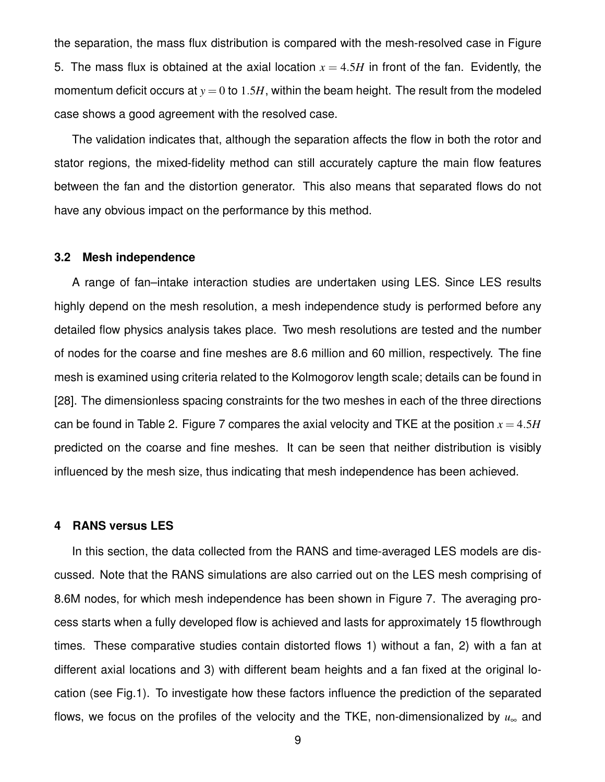the separation, the mass flux distribution is compared with the mesh-resolved case in Figure 5. The mass flux is obtained at the axial location  $x = 4.5H$  in front of the fan. Evidently, the momentum deficit occurs at  $y = 0$  to 1.5H, within the beam height. The result from the modeled case shows a good agreement with the resolved case.

The validation indicates that, although the separation affects the flow in both the rotor and stator regions, the mixed-fidelity method can still accurately capture the main flow features between the fan and the distortion generator. This also means that separated flows do not have any obvious impact on the performance by this method.

#### **3.2 Mesh independence**

A range of fan–intake interaction studies are undertaken using LES. Since LES results highly depend on the mesh resolution, a mesh independence study is performed before any detailed flow physics analysis takes place. Two mesh resolutions are tested and the number of nodes for the coarse and fine meshes are 8.6 million and 60 million, respectively. The fine mesh is examined using criteria related to the Kolmogorov length scale; details can be found in [28]. The dimensionless spacing constraints for the two meshes in each of the three directions can be found in Table 2. Figure 7 compares the axial velocity and TKE at the position  $x = 4.5H$ predicted on the coarse and fine meshes. It can be seen that neither distribution is visibly influenced by the mesh size, thus indicating that mesh independence has been achieved.

#### **4 RANS versus LES**

In this section, the data collected from the RANS and time-averaged LES models are discussed. Note that the RANS simulations are also carried out on the LES mesh comprising of 8.6M nodes, for which mesh independence has been shown in Figure 7. The averaging process starts when a fully developed flow is achieved and lasts for approximately 15 flowthrough times. These comparative studies contain distorted flows 1) without a fan, 2) with a fan at different axial locations and 3) with different beam heights and a fan fixed at the original location (see Fig.1). To investigate how these factors influence the prediction of the separated flows, we focus on the profiles of the velocity and the TKE, non-dimensionalized by  $u_{\infty}$  and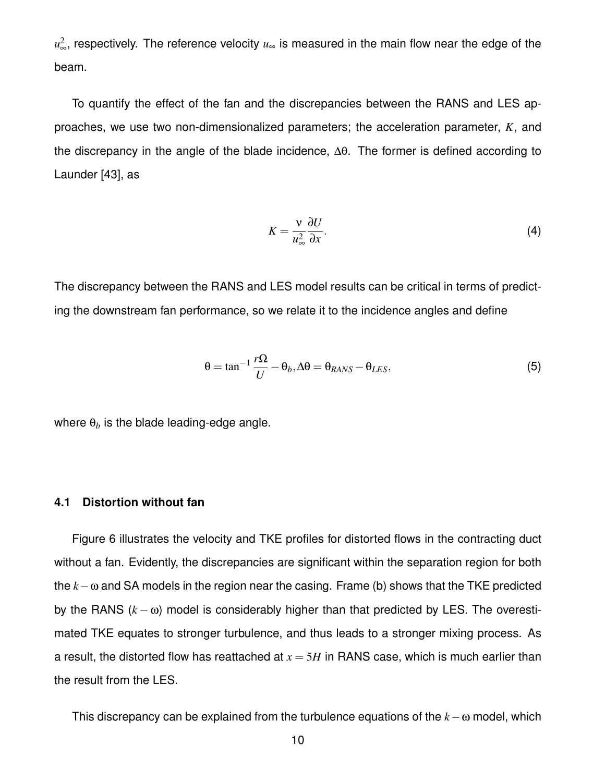*u* 2 <sup>∞</sup>, respectively. The reference velocity *u*<sup>∞</sup> is measured in the main flow near the edge of the beam.

To quantify the effect of the fan and the discrepancies between the RANS and LES approaches, we use two non-dimensionalized parameters; the acceleration parameter, *K*, and the discrepancy in the angle of the blade incidence, ∆θ. The former is defined according to Launder [43], as

$$
K = \frac{v}{u_{\infty}^2} \frac{\partial U}{\partial x}.
$$
 (4)

The discrepancy between the RANS and LES model results can be critical in terms of predicting the downstream fan performance, so we relate it to the incidence angles and define

$$
\theta = \tan^{-1} \frac{r\Omega}{U} - \theta_b, \Delta\theta = \theta_{RANS} - \theta_{LES},
$$
\n(5)

where  $\theta_b$  is the blade leading-edge angle.

#### **4.1 Distortion without fan**

Figure 6 illustrates the velocity and TKE profiles for distorted flows in the contracting duct without a fan. Evidently, the discrepancies are significant within the separation region for both the *k*−ω and SA models in the region near the casing. Frame (b) shows that the TKE predicted by the RANS (*k* − ω) model is considerably higher than that predicted by LES. The overestimated TKE equates to stronger turbulence, and thus leads to a stronger mixing process. As a result, the distorted flow has reattached at  $x = 5H$  in RANS case, which is much earlier than the result from the LES.

This discrepancy can be explained from the turbulence equations of the *k*−ω model, which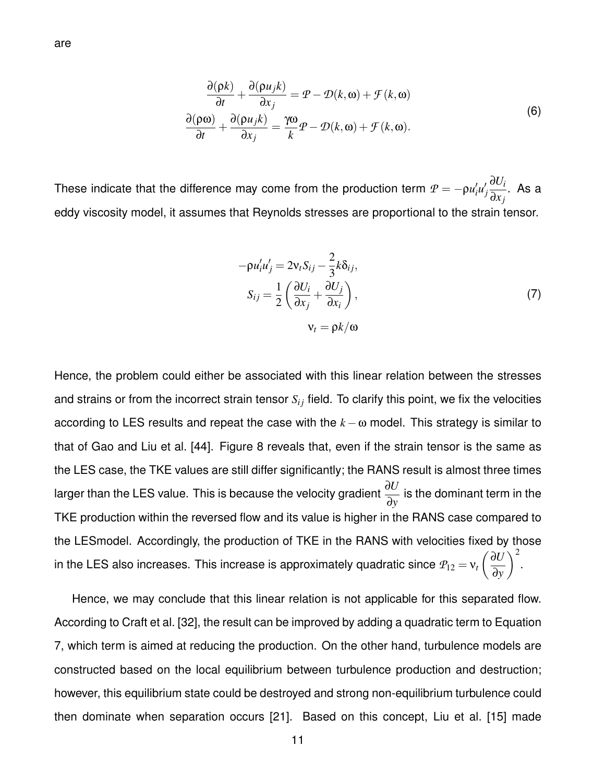$$
\frac{\partial(\rho k)}{\partial t} + \frac{\partial(\rho u_j k)}{\partial x_j} = \mathcal{P} - \mathcal{D}(k, \omega) + \mathcal{F}(k, \omega)
$$
  

$$
\frac{\partial(\rho \omega)}{\partial t} + \frac{\partial(\rho u_j k)}{\partial x_j} = \frac{\gamma \omega}{k} \mathcal{P} - \mathcal{D}(k, \omega) + \mathcal{F}(k, \omega).
$$
 (6)

These indicate that the difference may come from the production term  $\mathcal{P} = -\rho u'_i u'_j$ *j* ∂*U<sup>i</sup>* ∂*x <sup>j</sup>* . As a eddy viscosity model, it assumes that Reynolds stresses are proportional to the strain tensor.

$$
-\rho u_i' u_j' = 2v_t S_{ij} - \frac{2}{3} k \delta_{ij},
$$
  
\n
$$
S_{ij} = \frac{1}{2} \left( \frac{\partial U_i}{\partial x_j} + \frac{\partial U_j}{\partial x_i} \right),
$$
  
\n
$$
v_t = \rho k / \omega
$$
\n(7)

Hence, the problem could either be associated with this linear relation between the stresses and strains or from the incorrect strain tensor  $S_{ij}$  field. To clarify this point, we fix the velocities according to LES results and repeat the case with the  $k - \omega$  model. This strategy is similar to that of Gao and Liu et al. [44]. Figure 8 reveals that, even if the strain tensor is the same as the LES case, the TKE values are still differ significantly; the RANS result is almost three times larger than the LES value. This is because the velocity gradient  $\frac{\partial U}{\partial \theta}$ ∂*y* is the dominant term in the TKE production within the reversed flow and its value is higher in the RANS case compared to the LESmodel. Accordingly, the production of TKE in the RANS with velocities fixed by those in the LES also increases. This increase is approximately quadratic since  $\varrho_{12} = \mathsf{v}_t\left(\frac{\partial U}{\partial x}\right)$ ∂*y*  $\bigg)$ <sup>2</sup>.

Hence, we may conclude that this linear relation is not applicable for this separated flow. According to Craft et al. [32], the result can be improved by adding a quadratic term to Equation 7, which term is aimed at reducing the production. On the other hand, turbulence models are constructed based on the local equilibrium between turbulence production and destruction; however, this equilibrium state could be destroyed and strong non-equilibrium turbulence could then dominate when separation occurs [21]. Based on this concept, Liu et al. [15] made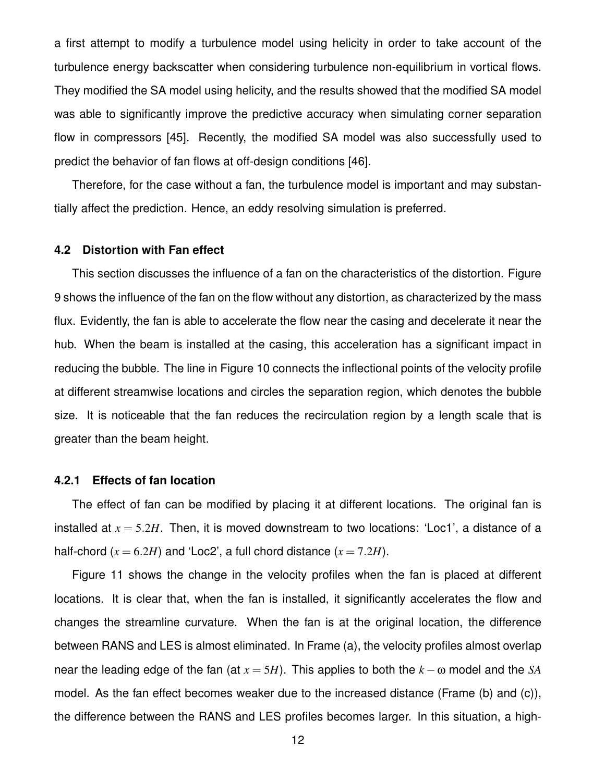a first attempt to modify a turbulence model using helicity in order to take account of the turbulence energy backscatter when considering turbulence non-equilibrium in vortical flows. They modified the SA model using helicity, and the results showed that the modified SA model was able to significantly improve the predictive accuracy when simulating corner separation flow in compressors [45]. Recently, the modified SA model was also successfully used to predict the behavior of fan flows at off-design conditions [46].

Therefore, for the case without a fan, the turbulence model is important and may substantially affect the prediction. Hence, an eddy resolving simulation is preferred.

#### **4.2 Distortion with Fan effect**

This section discusses the influence of a fan on the characteristics of the distortion. Figure 9 shows the influence of the fan on the flow without any distortion, as characterized by the mass flux. Evidently, the fan is able to accelerate the flow near the casing and decelerate it near the hub. When the beam is installed at the casing, this acceleration has a significant impact in reducing the bubble. The line in Figure 10 connects the inflectional points of the velocity profile at different streamwise locations and circles the separation region, which denotes the bubble size. It is noticeable that the fan reduces the recirculation region by a length scale that is greater than the beam height.

#### **4.2.1 Effects of fan location**

The effect of fan can be modified by placing it at different locations. The original fan is installed at  $x = 5.2H$ . Then, it is moved downstream to two locations: 'Loc1', a distance of a half-chord  $(x = 6.2H)$  and 'Loc2', a full chord distance  $(x = 7.2H)$ .

Figure 11 shows the change in the velocity profiles when the fan is placed at different locations. It is clear that, when the fan is installed, it significantly accelerates the flow and changes the streamline curvature. When the fan is at the original location, the difference between RANS and LES is almost eliminated. In Frame (a), the velocity profiles almost overlap near the leading edge of the fan (at  $x = 5H$ ). This applies to both the  $k - \omega$  model and the *SA* model. As the fan effect becomes weaker due to the increased distance (Frame (b) and (c)), the difference between the RANS and LES profiles becomes larger. In this situation, a high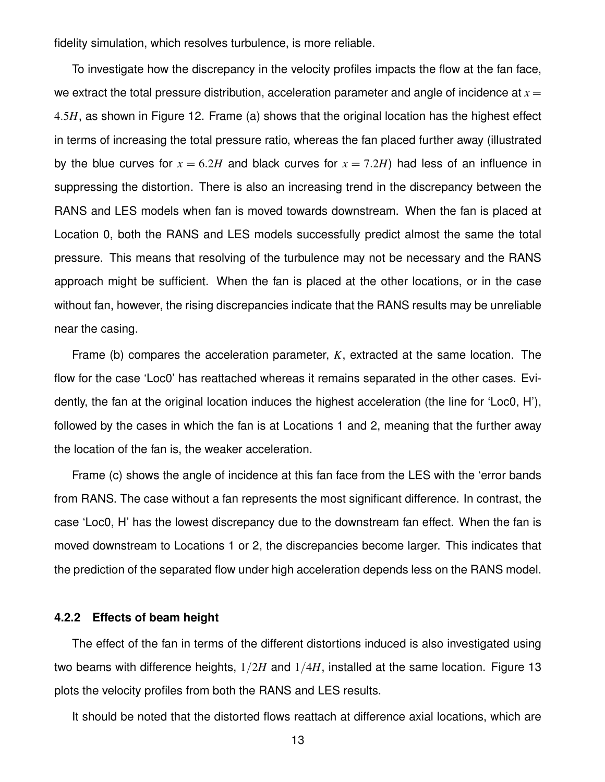fidelity simulation, which resolves turbulence, is more reliable.

To investigate how the discrepancy in the velocity profiles impacts the flow at the fan face, we extract the total pressure distribution, acceleration parameter and angle of incidence at  $x =$ 4.5*H*, as shown in Figure 12. Frame (a) shows that the original location has the highest effect in terms of increasing the total pressure ratio, whereas the fan placed further away (illustrated by the blue curves for  $x = 6.2H$  and black curves for  $x = 7.2H$ ) had less of an influence in suppressing the distortion. There is also an increasing trend in the discrepancy between the RANS and LES models when fan is moved towards downstream. When the fan is placed at Location 0, both the RANS and LES models successfully predict almost the same the total pressure. This means that resolving of the turbulence may not be necessary and the RANS approach might be sufficient. When the fan is placed at the other locations, or in the case without fan, however, the rising discrepancies indicate that the RANS results may be unreliable near the casing.

Frame (b) compares the acceleration parameter, *K*, extracted at the same location. The flow for the case 'Loc0' has reattached whereas it remains separated in the other cases. Evidently, the fan at the original location induces the highest acceleration (the line for 'Loc0, H'), followed by the cases in which the fan is at Locations 1 and 2, meaning that the further away the location of the fan is, the weaker acceleration.

Frame (c) shows the angle of incidence at this fan face from the LES with the 'error bands from RANS. The case without a fan represents the most significant difference. In contrast, the case 'Loc0, H' has the lowest discrepancy due to the downstream fan effect. When the fan is moved downstream to Locations 1 or 2, the discrepancies become larger. This indicates that the prediction of the separated flow under high acceleration depends less on the RANS model.

#### **4.2.2 Effects of beam height**

The effect of the fan in terms of the different distortions induced is also investigated using two beams with difference heights, 1/2*H* and 1/4*H*, installed at the same location. Figure 13 plots the velocity profiles from both the RANS and LES results.

It should be noted that the distorted flows reattach at difference axial locations, which are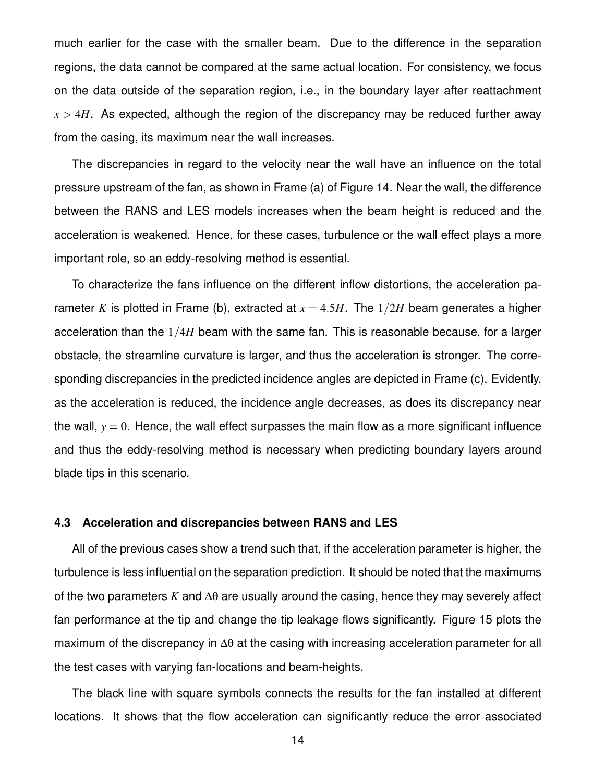much earlier for the case with the smaller beam. Due to the difference in the separation regions, the data cannot be compared at the same actual location. For consistency, we focus on the data outside of the separation region, i.e., in the boundary layer after reattachment  $x > 4H$ . As expected, although the region of the discrepancy may be reduced further away from the casing, its maximum near the wall increases.

The discrepancies in regard to the velocity near the wall have an influence on the total pressure upstream of the fan, as shown in Frame (a) of Figure 14. Near the wall, the difference between the RANS and LES models increases when the beam height is reduced and the acceleration is weakened. Hence, for these cases, turbulence or the wall effect plays a more important role, so an eddy-resolving method is essential.

To characterize the fans influence on the different inflow distortions, the acceleration parameter *K* is plotted in Frame (b), extracted at  $x = 4.5H$ . The  $1/2H$  beam generates a higher acceleration than the 1/4*H* beam with the same fan. This is reasonable because, for a larger obstacle, the streamline curvature is larger, and thus the acceleration is stronger. The corresponding discrepancies in the predicted incidence angles are depicted in Frame (c). Evidently, as the acceleration is reduced, the incidence angle decreases, as does its discrepancy near the wall,  $y = 0$ . Hence, the wall effect surpasses the main flow as a more significant influence and thus the eddy-resolving method is necessary when predicting boundary layers around blade tips in this scenario.

# **4.3 Acceleration and discrepancies between RANS and LES**

All of the previous cases show a trend such that, if the acceleration parameter is higher, the turbulence is less influential on the separation prediction. It should be noted that the maximums of the two parameters *K* and ∆θ are usually around the casing, hence they may severely affect fan performance at the tip and change the tip leakage flows significantly. Figure 15 plots the maximum of the discrepancy in Δθ at the casing with increasing acceleration parameter for all the test cases with varying fan-locations and beam-heights.

The black line with square symbols connects the results for the fan installed at different locations. It shows that the flow acceleration can significantly reduce the error associated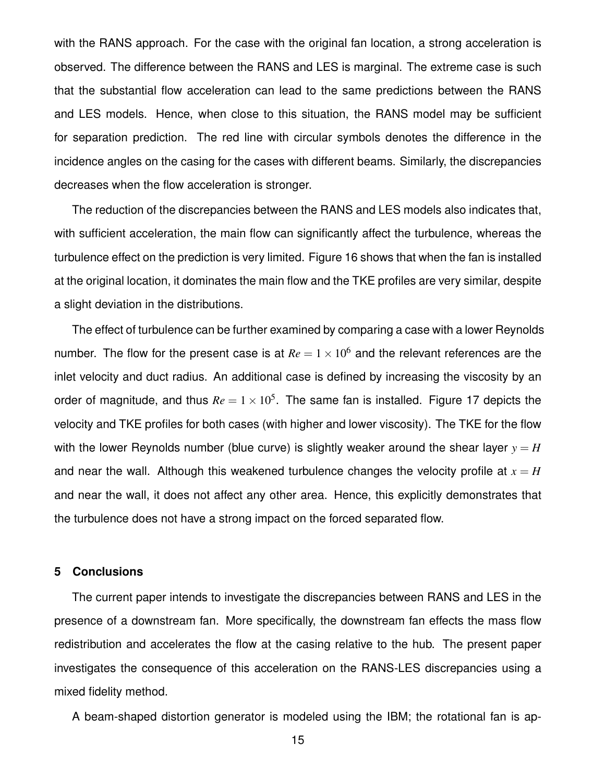with the RANS approach. For the case with the original fan location, a strong acceleration is observed. The difference between the RANS and LES is marginal. The extreme case is such that the substantial flow acceleration can lead to the same predictions between the RANS and LES models. Hence, when close to this situation, the RANS model may be sufficient for separation prediction. The red line with circular symbols denotes the difference in the incidence angles on the casing for the cases with different beams. Similarly, the discrepancies decreases when the flow acceleration is stronger.

The reduction of the discrepancies between the RANS and LES models also indicates that, with sufficient acceleration, the main flow can significantly affect the turbulence, whereas the turbulence effect on the prediction is very limited. Figure 16 shows that when the fan is installed at the original location, it dominates the main flow and the TKE profiles are very similar, despite a slight deviation in the distributions.

The effect of turbulence can be further examined by comparing a case with a lower Reynolds number. The flow for the present case is at  $Re = 1 \times 10^6$  and the relevant references are the inlet velocity and duct radius. An additional case is defined by increasing the viscosity by an order of magnitude, and thus  $Re = 1 \times 10^5$ . The same fan is installed. Figure 17 depicts the velocity and TKE profiles for both cases (with higher and lower viscosity). The TKE for the flow with the lower Reynolds number (blue curve) is slightly weaker around the shear layer  $y = H$ and near the wall. Although this weakened turbulence changes the velocity profile at  $x = H$ and near the wall, it does not affect any other area. Hence, this explicitly demonstrates that the turbulence does not have a strong impact on the forced separated flow.

# **5 Conclusions**

The current paper intends to investigate the discrepancies between RANS and LES in the presence of a downstream fan. More specifically, the downstream fan effects the mass flow redistribution and accelerates the flow at the casing relative to the hub. The present paper investigates the consequence of this acceleration on the RANS-LES discrepancies using a mixed fidelity method.

A beam-shaped distortion generator is modeled using the IBM; the rotational fan is ap-

15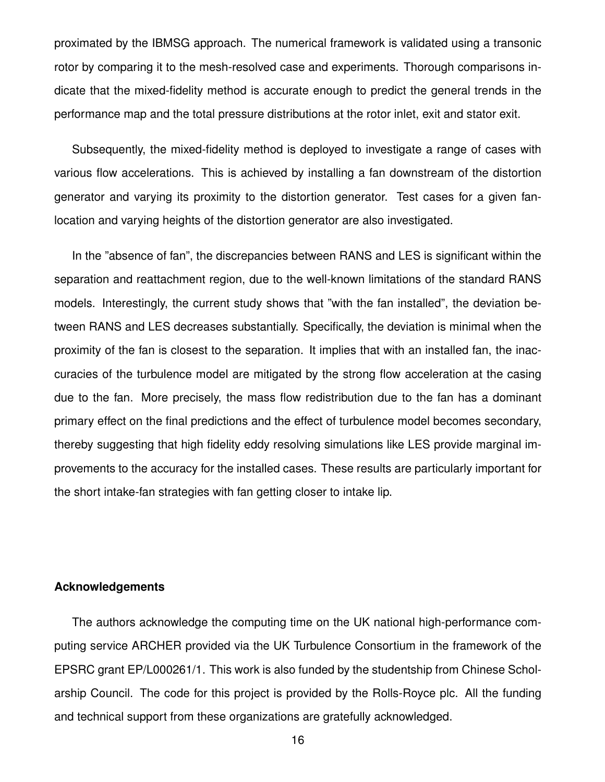proximated by the IBMSG approach. The numerical framework is validated using a transonic rotor by comparing it to the mesh-resolved case and experiments. Thorough comparisons indicate that the mixed-fidelity method is accurate enough to predict the general trends in the performance map and the total pressure distributions at the rotor inlet, exit and stator exit.

Subsequently, the mixed-fidelity method is deployed to investigate a range of cases with various flow accelerations. This is achieved by installing a fan downstream of the distortion generator and varying its proximity to the distortion generator. Test cases for a given fanlocation and varying heights of the distortion generator are also investigated.

In the "absence of fan", the discrepancies between RANS and LES is significant within the separation and reattachment region, due to the well-known limitations of the standard RANS models. Interestingly, the current study shows that "with the fan installed", the deviation between RANS and LES decreases substantially. Specifically, the deviation is minimal when the proximity of the fan is closest to the separation. It implies that with an installed fan, the inaccuracies of the turbulence model are mitigated by the strong flow acceleration at the casing due to the fan. More precisely, the mass flow redistribution due to the fan has a dominant primary effect on the final predictions and the effect of turbulence model becomes secondary, thereby suggesting that high fidelity eddy resolving simulations like LES provide marginal improvements to the accuracy for the installed cases. These results are particularly important for the short intake-fan strategies with fan getting closer to intake lip.

# **Acknowledgements**

The authors acknowledge the computing time on the UK national high-performance computing service ARCHER provided via the UK Turbulence Consortium in the framework of the EPSRC grant EP/L000261/1. This work is also funded by the studentship from Chinese Scholarship Council. The code for this project is provided by the Rolls-Royce plc. All the funding and technical support from these organizations are gratefully acknowledged.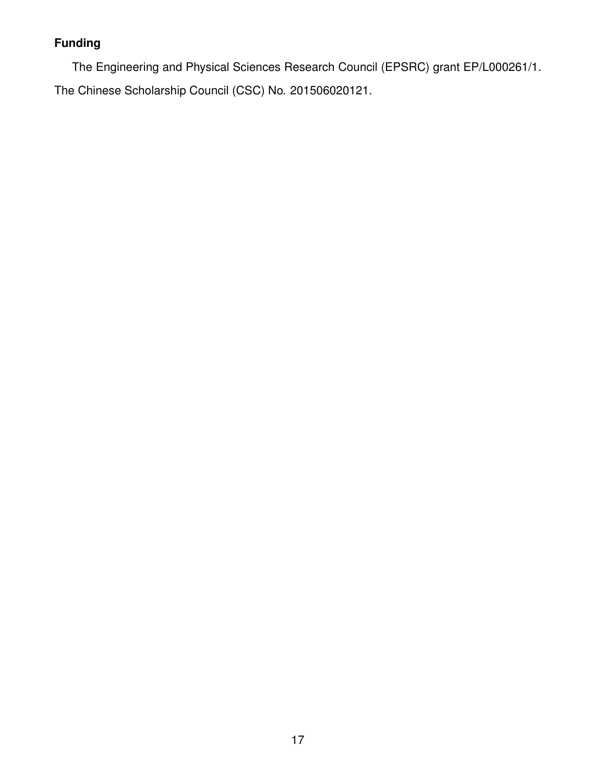# **Funding**

The Engineering and Physical Sciences Research Council (EPSRC) grant EP/L000261/1. The Chinese Scholarship Council (CSC) No. 201506020121.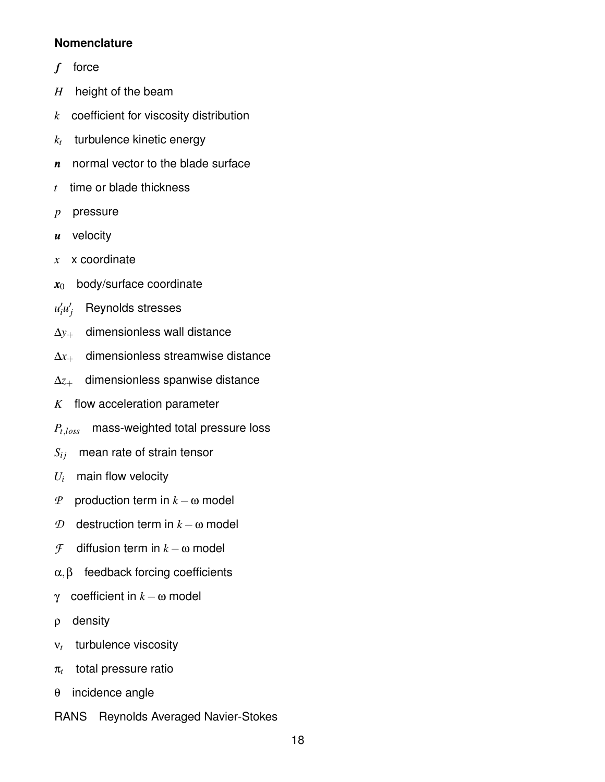# **Nomenclature**

- *f* force
- *H* height of the beam
- *k* coefficient for viscosity distribution
- *kt* turbulence kinetic energy
- *n* normal vector to the blade surface
- *t* time or blade thickness
- *p* pressure
- *u* velocity
- *x* x coordinate
- $x_0$  body/surface coordinate
- *u* ′ *i u* ′ *<sup>j</sup>* Reynolds stresses
- ∆*y*<sup>+</sup> dimensionless wall distance
- ∆*x*<sup>+</sup> dimensionless streamwise distance
- ∆*z*<sup>+</sup> dimensionless spanwise distance
- *K* flow acceleration parameter
- *Pt*,*loss* mass-weighted total pressure loss
- $S_{ij}$  mean rate of strain tensor
- $U_i$  main flow velocity
- *P* production term in *k* −ω model
- *D* destruction term in  $k ω$  model
- *F* diffusion term in  $k$  − ω model
- $\alpha, \beta$  feedback forcing coefficients
- γ coefficient in  $k ω$  model
- ρ density
- ν*t* turbulence viscosity
- π*t* total pressure ratio
- θ incidence angle
- RANS Reynolds Averaged Navier-Stokes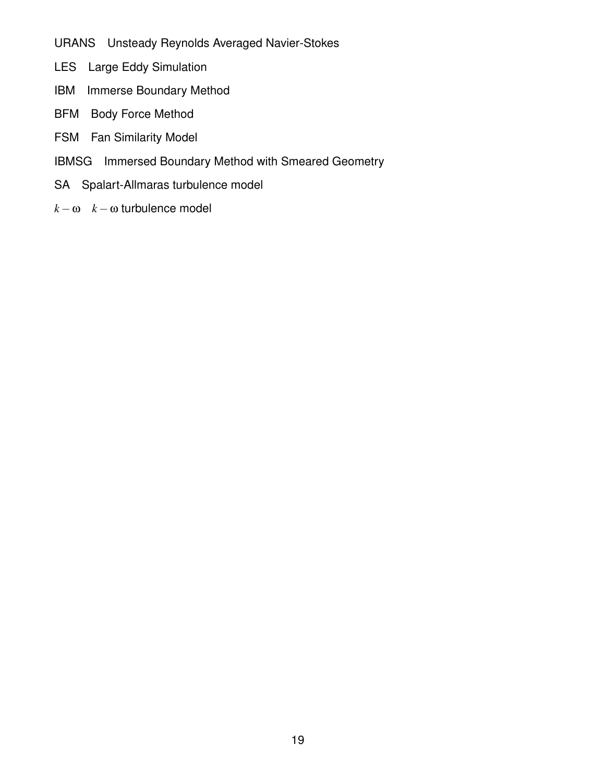URANS Unsteady Reynolds Averaged Navier-Stokes

- LES Large Eddy Simulation
- IBM Immerse Boundary Method
- BFM Body Force Method
- FSM Fan Similarity Model
- IBMSG Immersed Boundary Method with Smeared Geometry
- SA Spalart-Allmaras turbulence model
- $k \omega$  *k* − ω turbulence model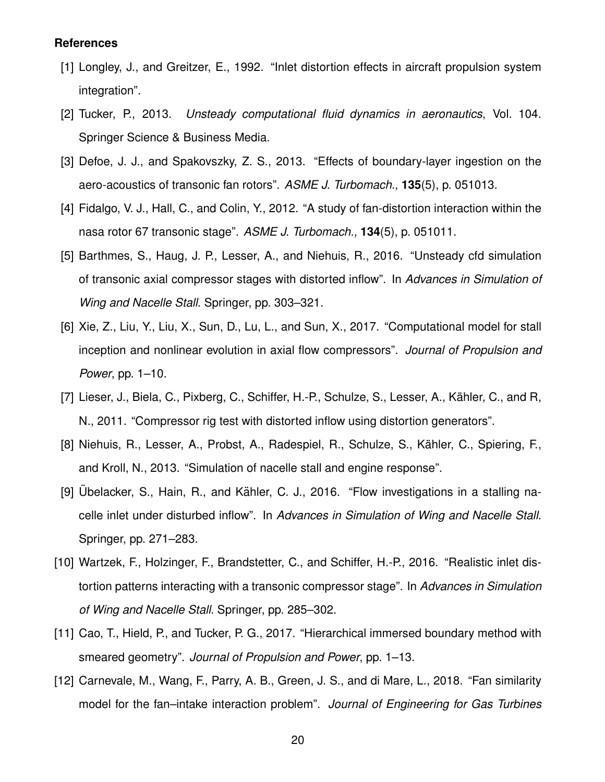#### **References**

- [1] Longley, J., and Greitzer, E., 1992. "Inlet distortion effects in aircraft propulsion system integration".
- [2] Tucker, P., 2013. *Unsteady computational fluid dynamics in aeronautics*, Vol. 104. Springer Science & Business Media.
- [3] Defoe, J. J., and Spakovszky, Z. S., 2013. "Effects of boundary-layer ingestion on the aero-acoustics of transonic fan rotors". *ASME J. Turbomach.,* **135**(5), p. 051013.
- [4] Fidalgo, V. J., Hall, C., and Colin, Y., 2012. "A study of fan-distortion interaction within the nasa rotor 67 transonic stage". *ASME J. Turbomach.,* **134**(5), p. 051011.
- [5] Barthmes, S., Haug, J. P., Lesser, A., and Niehuis, R., 2016. "Unsteady cfd simulation of transonic axial compressor stages with distorted inflow". In *Advances in Simulation of Wing and Nacelle Stall*. Springer, pp. 303–321.
- [6] Xie, Z., Liu, Y., Liu, X., Sun, D., Lu, L., and Sun, X., 2017. "Computational model for stall inception and nonlinear evolution in axial flow compressors". *Journal of Propulsion and Power*, pp. 1–10.
- [7] Lieser, J., Biela, C., Pixberg, C., Schiffer, H.-P., Schulze, S., Lesser, A., Kähler, C., and R, N., 2011. "Compressor rig test with distorted inflow using distortion generators".
- [8] Niehuis, R., Lesser, A., Probst, A., Radespiel, R., Schulze, S., Kähler, C., Spiering, F., and Kroll, N., 2013. "Simulation of nacelle stall and engine response".
- [9] Übelacker, S., Hain, R., and Kähler, C. J., 2016. "Flow investigations in a stalling nacelle inlet under disturbed inflow". In *Advances in Simulation of Wing and Nacelle Stall*. Springer, pp. 271–283.
- [10] Wartzek, F., Holzinger, F., Brandstetter, C., and Schiffer, H.-P., 2016. "Realistic inlet distortion patterns interacting with a transonic compressor stage". In *Advances in Simulation of Wing and Nacelle Stall*. Springer, pp. 285–302.
- [11] Cao, T., Hield, P., and Tucker, P. G., 2017. "Hierarchical immersed boundary method with smeared geometry". *Journal of Propulsion and Power*, pp. 1–13.
- [12] Carnevale, M., Wang, F., Parry, A. B., Green, J. S., and di Mare, L., 2018. "Fan similarity model for the fan–intake interaction problem". *Journal of Engineering for Gas Turbines*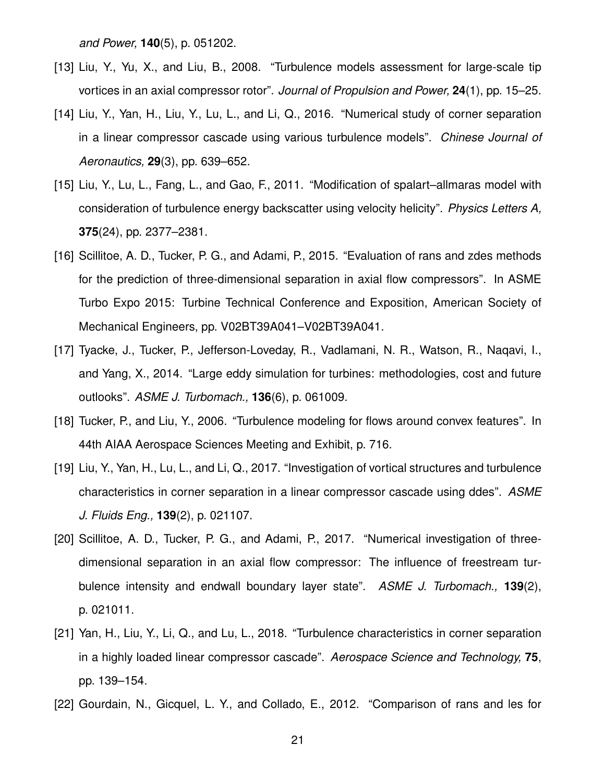*and Power,* **140**(5), p. 051202.

- [13] Liu, Y., Yu, X., and Liu, B., 2008. "Turbulence models assessment for large-scale tip vortices in an axial compressor rotor". *Journal of Propulsion and Power,* **24**(1), pp. 15–25.
- [14] Liu, Y., Yan, H., Liu, Y., Lu, L., and Li, Q., 2016. "Numerical study of corner separation in a linear compressor cascade using various turbulence models". *Chinese Journal of Aeronautics,* **29**(3), pp. 639–652.
- [15] Liu, Y., Lu, L., Fang, L., and Gao, F., 2011. "Modification of spalart–allmaras model with consideration of turbulence energy backscatter using velocity helicity". *Physics Letters A,* **375**(24), pp. 2377–2381.
- [16] Scillitoe, A. D., Tucker, P. G., and Adami, P., 2015. "Evaluation of rans and zdes methods for the prediction of three-dimensional separation in axial flow compressors". In ASME Turbo Expo 2015: Turbine Technical Conference and Exposition, American Society of Mechanical Engineers, pp. V02BT39A041–V02BT39A041.
- [17] Tyacke, J., Tucker, P., Jefferson-Loveday, R., Vadlamani, N. R., Watson, R., Naqavi, I., and Yang, X., 2014. "Large eddy simulation for turbines: methodologies, cost and future outlooks". *ASME J. Turbomach.,* **136**(6), p. 061009.
- [18] Tucker, P., and Liu, Y., 2006. "Turbulence modeling for flows around convex features". In 44th AIAA Aerospace Sciences Meeting and Exhibit, p. 716.
- [19] Liu, Y., Yan, H., Lu, L., and Li, Q., 2017. "Investigation of vortical structures and turbulence characteristics in corner separation in a linear compressor cascade using ddes". *ASME J. Fluids Eng.,* **139**(2), p. 021107.
- [20] Scillitoe, A. D., Tucker, P. G., and Adami, P., 2017. "Numerical investigation of threedimensional separation in an axial flow compressor: The influence of freestream turbulence intensity and endwall boundary layer state". *ASME J. Turbomach.,* **139**(2), p. 021011.
- [21] Yan, H., Liu, Y., Li, Q., and Lu, L., 2018. "Turbulence characteristics in corner separation in a highly loaded linear compressor cascade". *Aerospace Science and Technology,* **75**, pp. 139–154.
- [22] Gourdain, N., Gicquel, L. Y., and Collado, E., 2012. "Comparison of rans and les for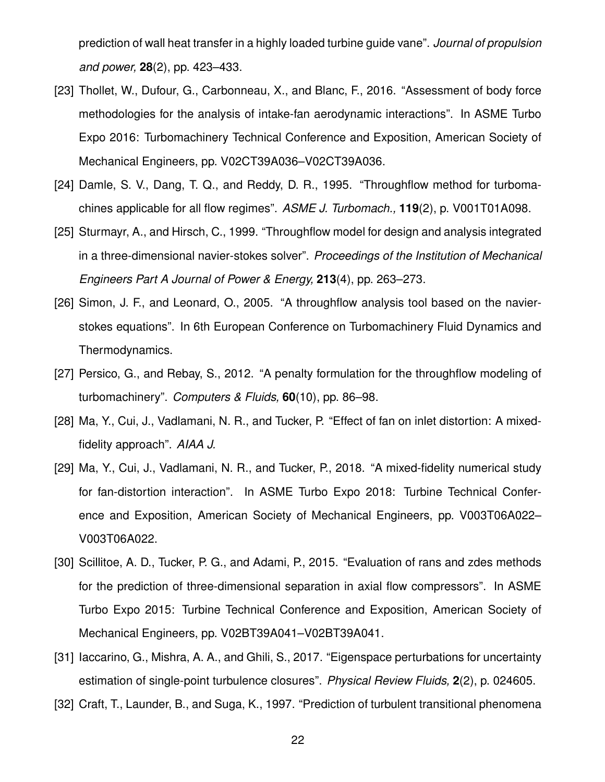prediction of wall heat transfer in a highly loaded turbine guide vane". *Journal of propulsion and power,* **28**(2), pp. 423–433.

- [23] Thollet, W., Dufour, G., Carbonneau, X., and Blanc, F., 2016. "Assessment of body force methodologies for the analysis of intake-fan aerodynamic interactions". In ASME Turbo Expo 2016: Turbomachinery Technical Conference and Exposition, American Society of Mechanical Engineers, pp. V02CT39A036–V02CT39A036.
- [24] Damle, S. V., Dang, T. Q., and Reddy, D. R., 1995. "Throughflow method for turbomachines applicable for all flow regimes". *ASME J. Turbomach.,* **119**(2), p. V001T01A098.
- [25] Sturmayr, A., and Hirsch, C., 1999. "Throughflow model for design and analysis integrated in a three-dimensional navier-stokes solver". *Proceedings of the Institution of Mechanical Engineers Part A Journal of Power & Energy,* **213**(4), pp. 263–273.
- [26] Simon, J. F., and Leonard, O., 2005. "A throughflow analysis tool based on the navierstokes equations". In 6th European Conference on Turbomachinery Fluid Dynamics and Thermodynamics.
- [27] Persico, G., and Rebay, S., 2012. "A penalty formulation for the throughflow modeling of turbomachinery". *Computers & Fluids,* **60**(10), pp. 86–98.
- [28] Ma, Y., Cui, J., Vadlamani, N. R., and Tucker, P. "Effect of fan on inlet distortion: A mixedfidelity approach". *AIAA J.*
- [29] Ma, Y., Cui, J., Vadlamani, N. R., and Tucker, P., 2018. "A mixed-fidelity numerical study for fan-distortion interaction". In ASME Turbo Expo 2018: Turbine Technical Conference and Exposition, American Society of Mechanical Engineers, pp. V003T06A022– V003T06A022.
- [30] Scillitoe, A. D., Tucker, P. G., and Adami, P., 2015. "Evaluation of rans and zdes methods for the prediction of three-dimensional separation in axial flow compressors". In ASME Turbo Expo 2015: Turbine Technical Conference and Exposition, American Society of Mechanical Engineers, pp. V02BT39A041–V02BT39A041.
- [31] Iaccarino, G., Mishra, A. A., and Ghili, S., 2017. "Eigenspace perturbations for uncertainty estimation of single-point turbulence closures". *Physical Review Fluids,* **2**(2), p. 024605.
- [32] Craft, T., Launder, B., and Suga, K., 1997. "Prediction of turbulent transitional phenomena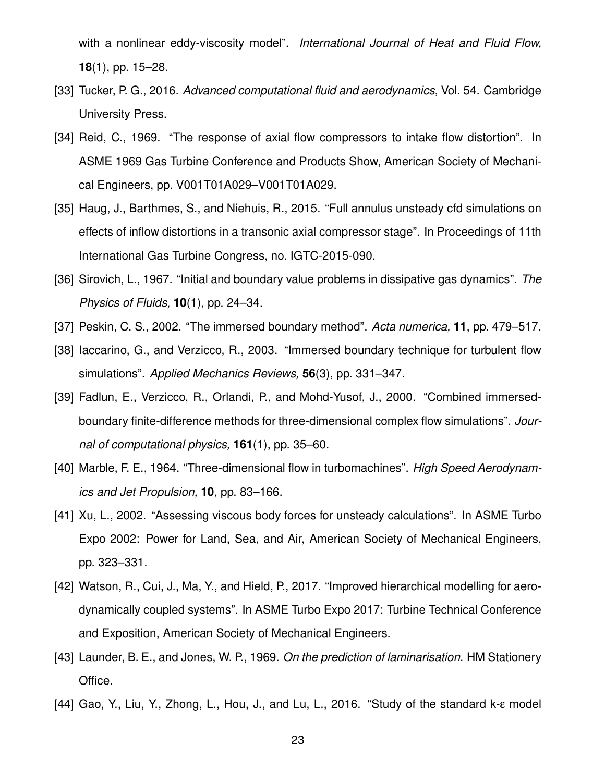with a nonlinear eddy-viscosity model". *International Journal of Heat and Fluid Flow,* **18**(1), pp. 15–28.

- [33] Tucker, P. G., 2016. *Advanced computational fluid and aerodynamics*, Vol. 54. Cambridge University Press.
- [34] Reid, C., 1969. "The response of axial flow compressors to intake flow distortion". In ASME 1969 Gas Turbine Conference and Products Show, American Society of Mechanical Engineers, pp. V001T01A029–V001T01A029.
- [35] Haug, J., Barthmes, S., and Niehuis, R., 2015. "Full annulus unsteady cfd simulations on effects of inflow distortions in a transonic axial compressor stage". In Proceedings of 11th International Gas Turbine Congress, no. IGTC-2015-090.
- [36] Sirovich, L., 1967. "Initial and boundary value problems in dissipative gas dynamics". *The Physics of Fluids,* **10**(1), pp. 24–34.
- [37] Peskin, C. S., 2002. "The immersed boundary method". *Acta numerica,* **11**, pp. 479–517.
- [38] Iaccarino, G., and Verzicco, R., 2003. "Immersed boundary technique for turbulent flow simulations". *Applied Mechanics Reviews,* **56**(3), pp. 331–347.
- [39] Fadlun, E., Verzicco, R., Orlandi, P., and Mohd-Yusof, J., 2000. "Combined immersedboundary finite-difference methods for three-dimensional complex flow simulations". *Journal of computational physics,* **161**(1), pp. 35–60.
- [40] Marble, F. E., 1964. "Three-dimensional flow in turbomachines". *High Speed Aerodynamics and Jet Propulsion,* **10**, pp. 83–166.
- [41] Xu, L., 2002. "Assessing viscous body forces for unsteady calculations". In ASME Turbo Expo 2002: Power for Land, Sea, and Air, American Society of Mechanical Engineers, pp. 323–331.
- [42] Watson, R., Cui, J., Ma, Y., and Hield, P., 2017. "Improved hierarchical modelling for aerodynamically coupled systems". In ASME Turbo Expo 2017: Turbine Technical Conference and Exposition, American Society of Mechanical Engineers.
- [43] Launder, B. E., and Jones, W. P., 1969. *On the prediction of laminarisation*. HM Stationery Office.
- [44] Gao, Y., Liu, Y., Zhong, L., Hou, J., and Lu, L., 2016. "Study of the standard k-ε model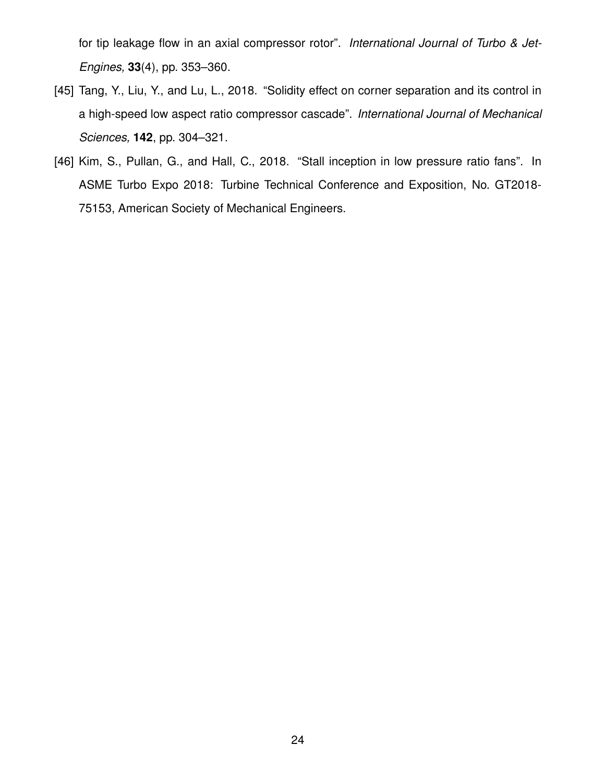for tip leakage flow in an axial compressor rotor". *International Journal of Turbo & Jet-Engines,* **33**(4), pp. 353–360.

- [45] Tang, Y., Liu, Y., and Lu, L., 2018. "Solidity effect on corner separation and its control in a high-speed low aspect ratio compressor cascade". *International Journal of Mechanical Sciences,* **142**, pp. 304–321.
- [46] Kim, S., Pullan, G., and Hall, C., 2018. "Stall inception in low pressure ratio fans". In ASME Turbo Expo 2018: Turbine Technical Conference and Exposition, No. GT2018- 75153, American Society of Mechanical Engineers.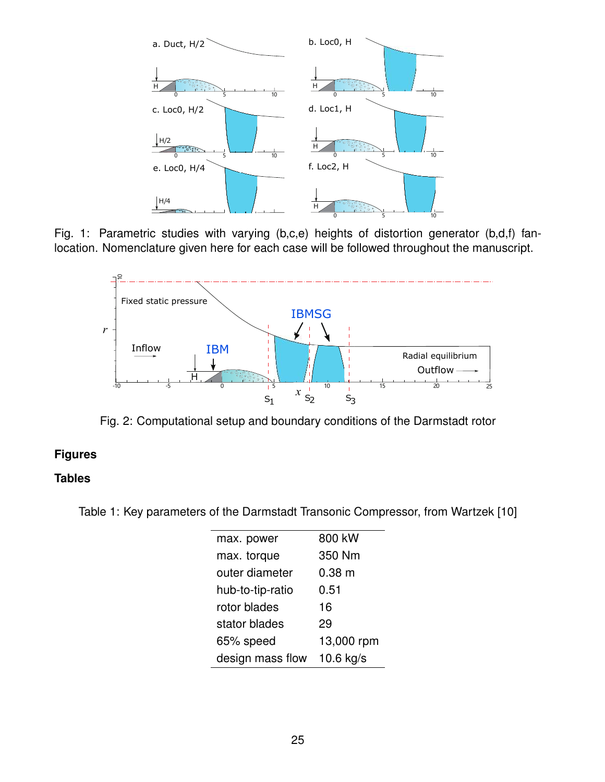

Fig. 1: Parametric studies with varying (b,c,e) heights of distortion generator (b,d,f) fanlocation. Nomenclature given here for each case will be followed throughout the manuscript.



Fig. 2: Computational setup and boundary conditions of the Darmstadt rotor

# **Figures**

# **Tables**

Table 1: Key parameters of the Darmstadt Transonic Compressor, from Wartzek [10]

| max. power       | 800 kW            |
|------------------|-------------------|
| max. torque      | 350 Nm            |
| outer diameter   | 0.38 <sub>m</sub> |
| hub-to-tip-ratio | 0.51              |
| rotor blades     | 16                |
| stator blades    | 29                |
| 65% speed        | 13,000 rpm        |
| design mass flow | 10.6 kg/s         |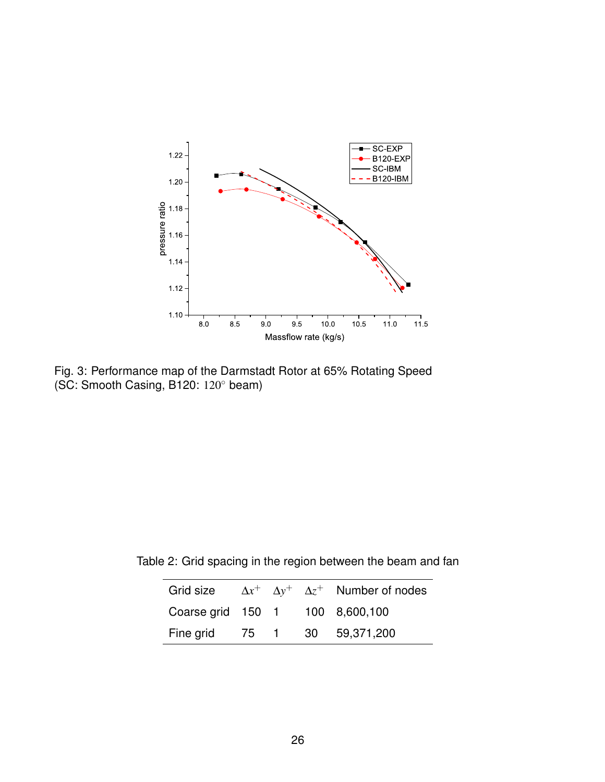

Fig. 3: Performance map of the Darmstadt Rotor at 65% Rotating Speed (SC: Smooth Casing, B120: 120◦ beam)

Table 2: Grid spacing in the region between the beam and fan

|                                 |  | Grid size $\Delta x^+$ $\Delta y^+$ $\Delta z^+$ Number of nodes |
|---------------------------------|--|------------------------------------------------------------------|
| Coarse grid 150 1 100 8,600,100 |  |                                                                  |
| Fine grid 75 1 30 59,371,200    |  |                                                                  |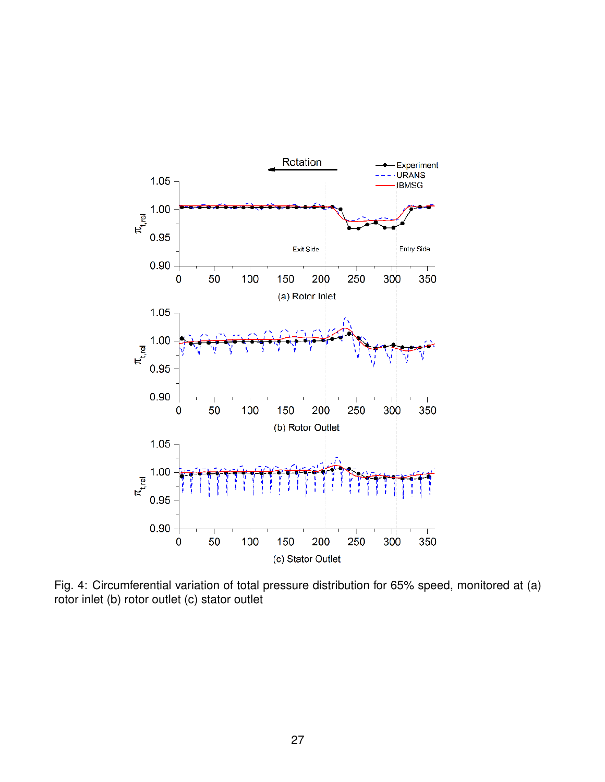

Fig. 4: Circumferential variation of total pressure distribution for 65% speed, monitored at (a) rotor inlet (b) rotor outlet (c) stator outlet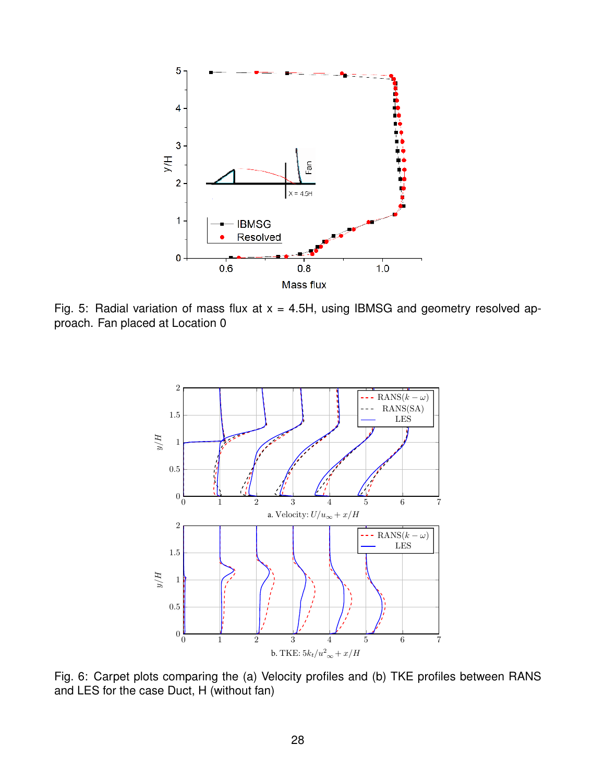

Fig. 5: Radial variation of mass flux at  $x = 4.5H$ , using IBMSG and geometry resolved approach. Fan placed at Location 0



Fig. 6: Carpet plots comparing the (a) Velocity profiles and (b) TKE profiles between RANS and LES for the case Duct, H (without fan)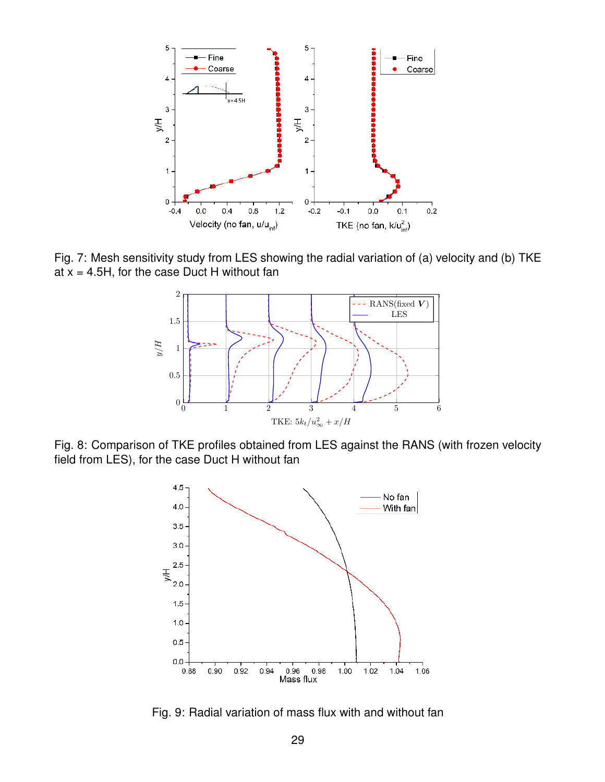

Fig. 7: Mesh sensitivity study from LES showing the radial variation of (a) velocity and (b) TKE at  $x = 4.5H$ , for the case Duct H without fan



Fig. 8: Comparison of TKE profiles obtained from LES against the RANS (with frozen velocity field from LES), for the case Duct H without fan



Fig. 9: Radial variation of mass flux with and without fan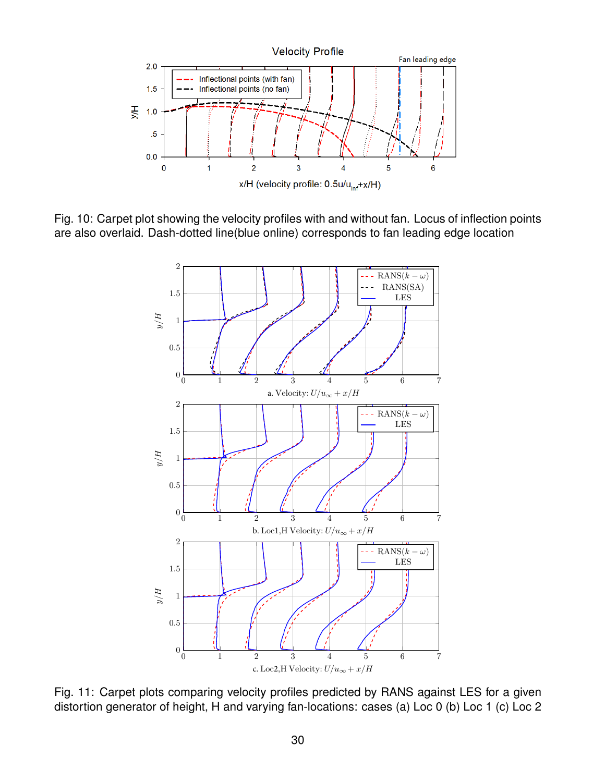

Fig. 10: Carpet plot showing the velocity profiles with and without fan. Locus of inflection points are also overlaid. Dash-dotted line(blue online) corresponds to fan leading edge location



Fig. 11: Carpet plots comparing velocity profiles predicted by RANS against LES for a given distortion generator of height, H and varying fan-locations: cases (a) Loc 0 (b) Loc 1 (c) Loc 2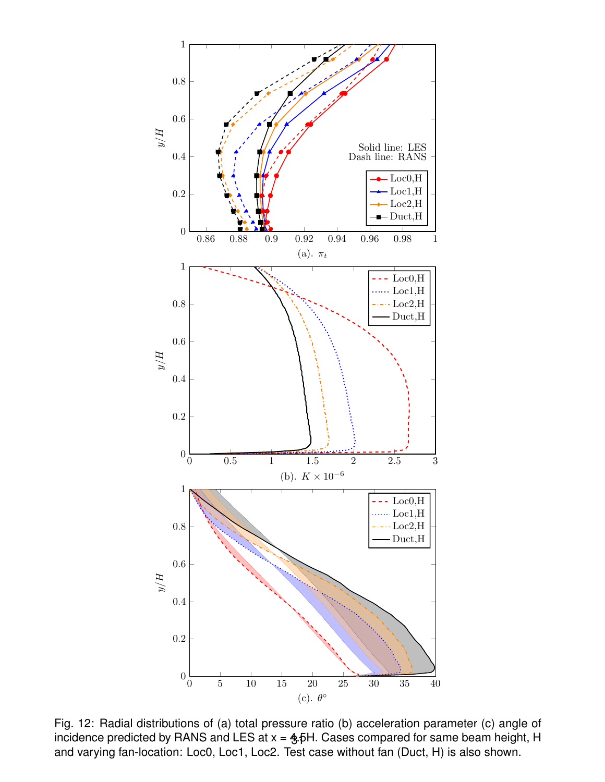

Fig. 12: Radial distributions of (a) total pressure ratio (b) acceleration parameter (c) angle of incidence predicted by RANS and LES at  $x = \frac{4}{3}$ , FH. Cases compared for same beam height, H and varying fan-location: Loc0, Loc1, Loc2. Test case without fan (Duct, H) is also shown.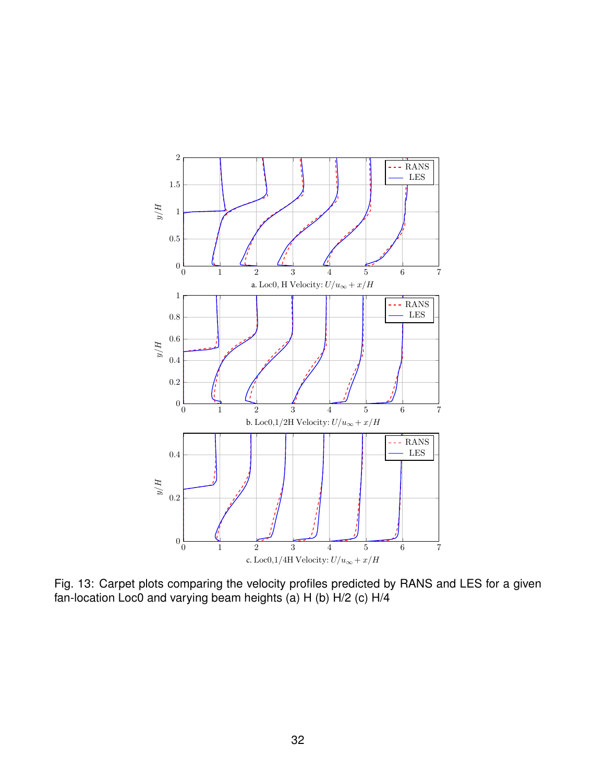

Fig. 13: Carpet plots comparing the velocity profiles predicted by RANS and LES for a given fan-location Loc0 and varying beam heights (a) H (b) H/2 (c) H/4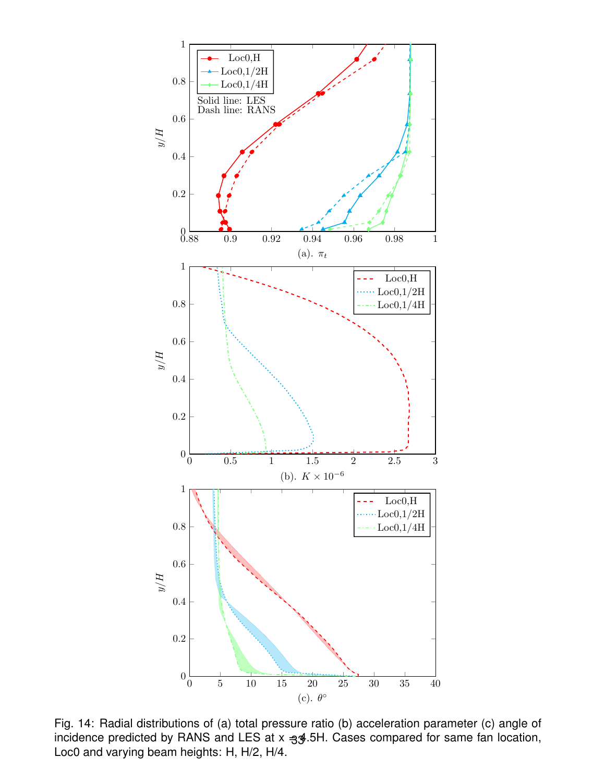

Fig. 14: Radial distributions of (a) total pressure ratio (b) acceleration parameter (c) angle of incidence predicted by RANS and LES at x -33.5H. Cases compared for same fan location, Loc0 and varying beam heights: H, H/2, H/4.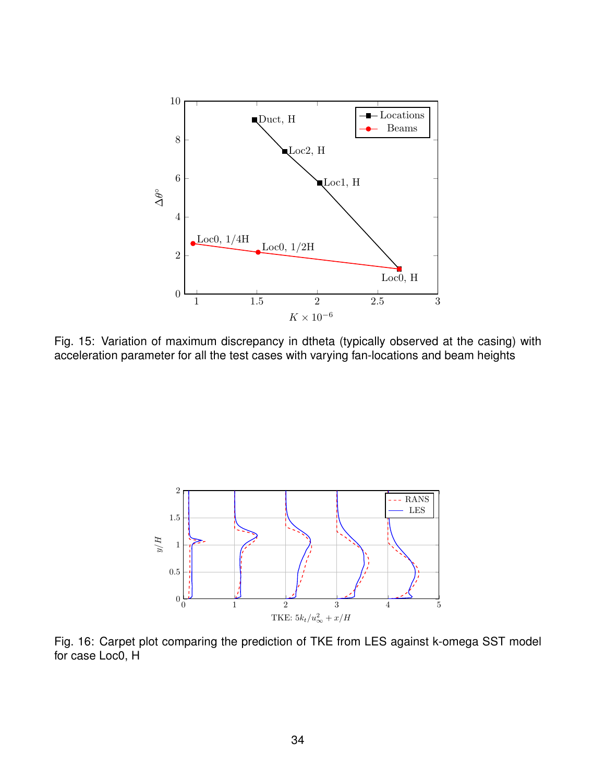

Fig. 15: Variation of maximum discrepancy in dtheta (typically observed at the casing) with acceleration parameter for all the test cases with varying fan-locations and beam heights



Fig. 16: Carpet plot comparing the prediction of TKE from LES against k-omega SST model for case Loc0, H